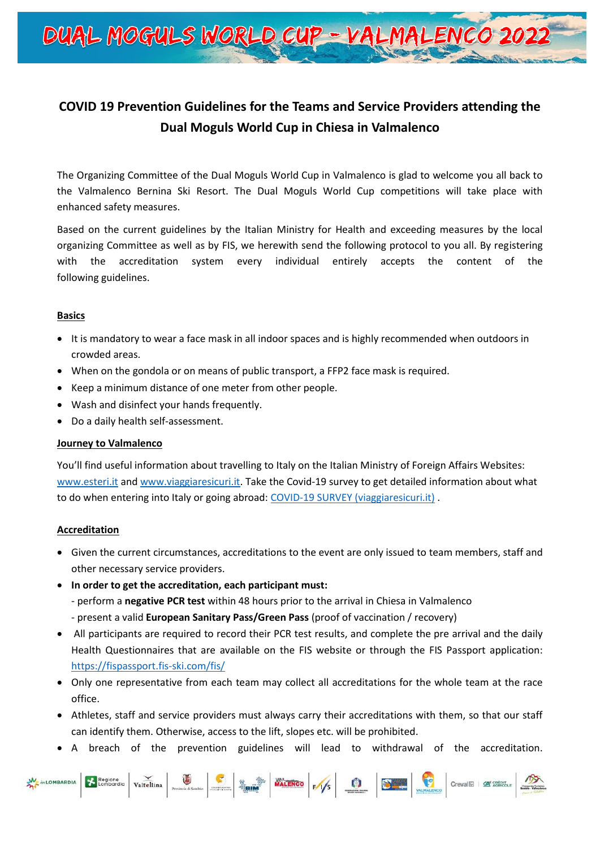

# **COVID 19 Prevention Guidelines for the Teams and Service Providers attending the Dual Moguls World Cup in Chiesa in Valmalenco**

The Organizing Committee of the Dual Moguls World Cup in Valmalenco is glad to welcome you all back to the Valmalenco Bernina Ski Resort. The Dual Moguls World Cup competitions will take place with enhanced safety measures.

Based on the current guidelines by the Italian Ministry for Health and exceeding measures by the local organizing Committee as well as by FIS, we herewith send the following protocol to you all. By registering with the accreditation system every individual entirely accepts the content of the following guidelines.

### **Basics**

- It is mandatory to wear a face mask in all indoor spaces and is highly recommended when outdoors in crowded areas.
- When on the gondola or on means of public transport, a FFP2 face mask is required.
- Keep a minimum distance of one meter from other people.
- Wash and disinfect your hands frequently.
- Do a daily health self-assessment.

### **Journey to Valmalenco**

You'll find useful information about travelling to Italy on the Italian Ministry of Foreign Affairs Websites: [www.esteri.it](http://www.esteri.it/) and [www.viaggiaresicuri.it.](http://www.viaggiaresicuri.it/) Take the Covid-19 survey to get detailed information about what to do when entering into Italy or going abroad[: COVID-19 SURVEY \(viaggiaresicuri.it\)](https://infocovid.viaggiaresicuri.it/index_en.html) .

### **Accreditation**

- Given the current circumstances, accreditations to the event are only issued to team members, staff and other necessary service providers.
- **In order to get the accreditation, each participant must:** 
	- perform a **negative PCR test** within 48 hours prior to the arrival in Chiesa in Valmalenco
	- present a valid **European Sanitary Pass/Green Pass** (proof of vaccination / recovery)
- All participants are required to record their PCR test results, and complete the pre arrival and the daily Health Questionnaires that are available on the FIS website or through the FIS Passport application: <https://fispassport.fis-ski.com/fis/>
- Only one representative from each team may collect all accreditations for the whole team at the race office.
- Athletes, staff and service providers must always carry their accreditations with them, so that our staff can identify them. Otherwise, access to the lift, slopes etc. will be prohibited.
- A breach of the prevention guidelines will lead to withdrawal of the accreditation.